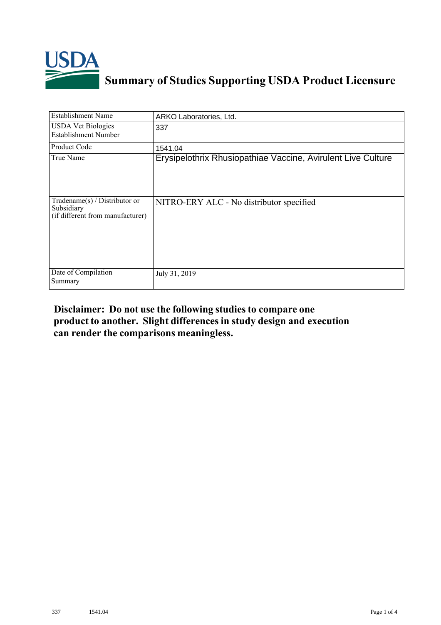

## **Summary of Studies Supporting USDA Product Licensure**

| <b>Establishment Name</b>                                                         | ARKO Laboratories, Ltd.                                      |
|-----------------------------------------------------------------------------------|--------------------------------------------------------------|
| <b>USDA Vet Biologics</b><br>Establishment Number                                 | 337                                                          |
| Product Code                                                                      | 1541.04                                                      |
| True Name                                                                         | Erysipelothrix Rhusiopathiae Vaccine, Avirulent Live Culture |
| $Tradename(s) / Distributor$ or<br>Subsidiary<br>(if different from manufacturer) | NITRO-ERY ALC - No distributor specified                     |
| Date of Compilation<br>Summary                                                    | July 31, 2019                                                |

## **Disclaimer: Do not use the following studiesto compare one product to another. Slight differencesin study design and execution can render the comparisons meaningless.**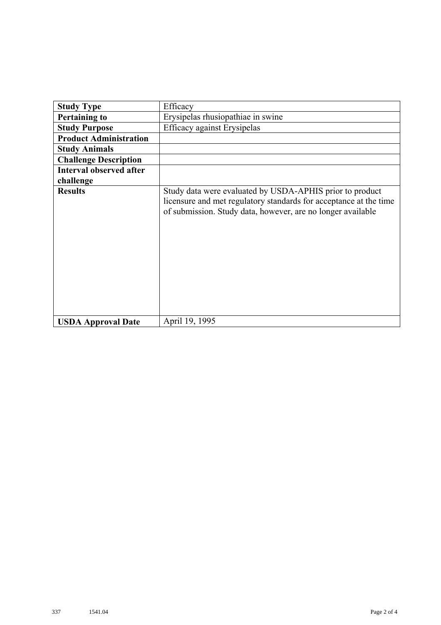| <b>Study Type</b>              | Efficacy                                                                                                                                                                                     |
|--------------------------------|----------------------------------------------------------------------------------------------------------------------------------------------------------------------------------------------|
| <b>Pertaining to</b>           | Erysipelas rhusiopathiae in swine                                                                                                                                                            |
| <b>Study Purpose</b>           | <b>Efficacy against Erysipelas</b>                                                                                                                                                           |
| <b>Product Administration</b>  |                                                                                                                                                                                              |
| <b>Study Animals</b>           |                                                                                                                                                                                              |
| <b>Challenge Description</b>   |                                                                                                                                                                                              |
| <b>Interval observed after</b> |                                                                                                                                                                                              |
| challenge                      |                                                                                                                                                                                              |
| <b>Results</b>                 | Study data were evaluated by USDA-APHIS prior to product<br>licensure and met regulatory standards for acceptance at the time<br>of submission. Study data, however, are no longer available |
| <b>USDA Approval Date</b>      | April 19, 1995                                                                                                                                                                               |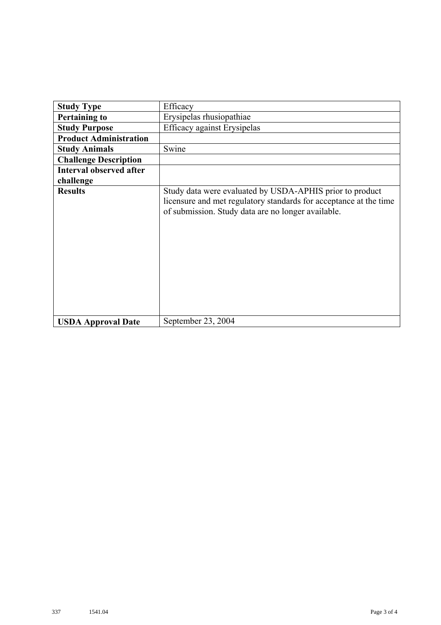| <b>Study Type</b>              | Efficacy                                                                                                                                                                            |
|--------------------------------|-------------------------------------------------------------------------------------------------------------------------------------------------------------------------------------|
| <b>Pertaining to</b>           | Erysipelas rhusiopathiae                                                                                                                                                            |
| <b>Study Purpose</b>           | <b>Efficacy against Erysipelas</b>                                                                                                                                                  |
| <b>Product Administration</b>  |                                                                                                                                                                                     |
| <b>Study Animals</b>           | Swine                                                                                                                                                                               |
| <b>Challenge Description</b>   |                                                                                                                                                                                     |
| <b>Interval observed after</b> |                                                                                                                                                                                     |
| challenge                      |                                                                                                                                                                                     |
| <b>Results</b>                 | Study data were evaluated by USDA-APHIS prior to product<br>licensure and met regulatory standards for acceptance at the time<br>of submission. Study data are no longer available. |
| <b>USDA Approval Date</b>      | September 23, 2004                                                                                                                                                                  |